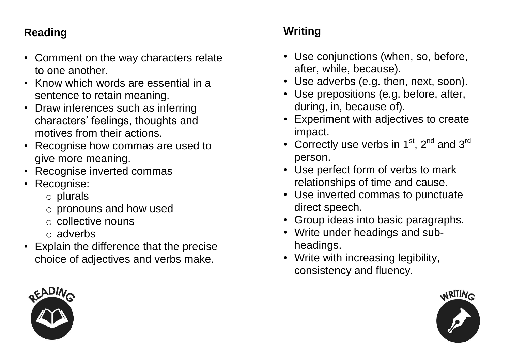### **Reading**

- Comment on the way characters relate to one another.
- Know which words are essential in a sentence to retain meaning.
- Draw inferences such as inferring characters' feelings, thoughts and motives from their actions.
- Recognise how commas are used to give more meaning.
- Recognise inverted commas
- Recognise:
	- o plurals
	- o pronouns and how used
	- o collective nouns
	- $\circ$  adverbs
- Explain the difference that the precise choice of adjectives and verbs make.

## **Writing**

- Use conjunctions (when, so, before, after, while, because).
- Use adverbs (e.g. then, next, soon).
- Use prepositions (e.g. before, after, during, in, because of).
- Experiment with adjectives to create impact.
- Correctly use verbs in  $1<sup>st</sup>$ ,  $2<sup>nd</sup>$  and  $3<sup>rd</sup>$ person.
- Use perfect form of verbs to mark relationships of time and cause.
- Use inverted commas to punctuate direct speech.
- Group ideas into basic paragraphs.
- Write under headings and subheadings.
- Write with increasing legibility, consistency and fluency.